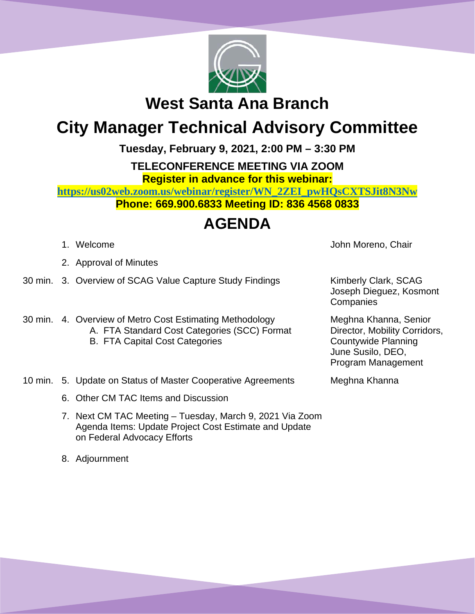

**West Santa Ana Branch** 

## **City Manager Technical Advisory Committee**

**Tuesday, February 9, 2021, 2:00 PM – 3:30 PM**

**TELECONFERENCE MEETING VIA ZOOM Register in advance for this webinar:**

**[https://us02web.zoom.us/webinar/register/WN\\_2ZEI\\_pwHQsCXTSJit8N3Nw](https://us02web.zoom.us/webinar/register/WN_2ZEI_pwHQsCXTSJit8N3Nw) Phone: 669.900.6833 Meeting ID: 836 4568 0833**

### **AGENDA**

- 
- 2. Approval of Minutes
- 30 min. 3. Overview of SCAG Value Capture Study Findings Kimberly Clark, SCAG
- 30 min. 4. Overview of Metro Cost Estimating Methodology A. FTA Standard Cost Categories (SCC) Format B. FTA Capital Cost Categories

1. Welcome **John Moreno, Chair** 

Joseph Dieguez, Kosmont **Companies** 

Meghna Khanna, Senior Director, Mobility Corridors, Countywide Planning June Susilo, DEO, Program Management

- 10 min. 5. Update on Status of Master Cooperative Agreements Meghna Khanna
	- 6. Other CM TAC Items and Discussion
	- 7. Next CM TAC Meeting Tuesday, March 9, 2021 Via Zoom Agenda Items: Update Project Cost Estimate and Update on Federal Advocacy Efforts
	- 8. Adjournment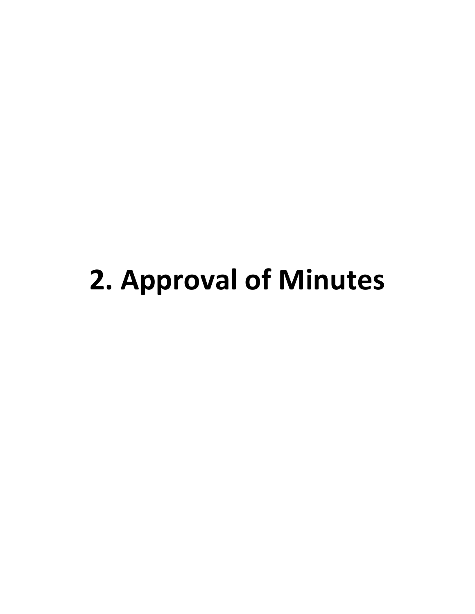## **2. Approval of Minutes**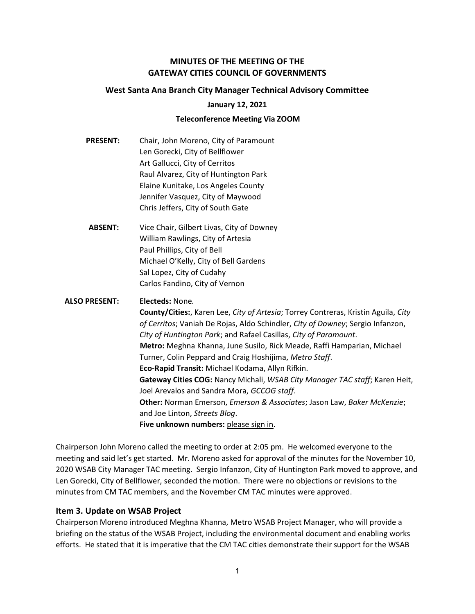#### MINUTES OF THE MEETING OF THE GATEWAY CITIES COUNCIL OF GOVERNMENTS

#### West Santa Ana Branch City Manager Technical Advisory Committee

#### January 12, 2021

#### Teleconference Meeting Via ZOOM

- PRESENT: Chair, John Moreno, City of Paramount Len Gorecki, City of Bellflower Art Gallucci, City of Cerritos Raul Alvarez, City of Huntington Park Elaine Kunitake, Los Angeles County Jennifer Vasquez, City of Maywood Chris Jeffers, City of South Gate
- ABSENT: Vice Chair, Gilbert Livas, City of Downey William Rawlings, City of Artesia Paul Phillips, City of Bell Michael O'Kelly, City of Bell Gardens Sal Lopez, City of Cudahy Carlos Fandino, City of Vernon

#### ALSO PRESENT: Electeds: None. County/Cities:, Karen Lee, City of Artesia; Torrey Contreras, Kristin Aguila, City of Cerritos; Vaniah De Rojas, Aldo Schindler, City of Downey; Sergio Infanzon, City of Huntington Park; and Rafael Casillas, City of Paramount. Metro: Meghna Khanna, June Susilo, Rick Meade, Raffi Hamparian, Michael Turner, Colin Peppard and Craig Hoshijima, Metro Staff. Eco-Rapid Transit: Michael Kodama, Allyn Rifkin. Gateway Cities COG: Nancy Michali, WSAB City Manager TAC staff; Karen Heit, Joel Arevalos and Sandra Mora, GCCOG staff. Other: Norman Emerson, Emerson & Associates; Jason Law, Baker McKenzie; and Joe Linton, Streets Blog. Five unknown numbers: please sign in.

Chairperson John Moreno called the meeting to order at 2:05 pm. He welcomed everyone to the meeting and said let's get started. Mr. Moreno asked for approval of the minutes for the November 10, 2020 WSAB City Manager TAC meeting. Sergio Infanzon, City of Huntington Park moved to approve, and Len Gorecki, City of Bellflower, seconded the motion. There were no objections or revisions to the minutes from CM TAC members, and the November CM TAC minutes were approved.

#### Item 3. Update on WSAB Project

Chairperson Moreno introduced Meghna Khanna, Metro WSAB Project Manager, who will provide a briefing on the status of the WSAB Project, including the environmental document and enabling works efforts. He stated that it is imperative that the CM TAC cities demonstrate their support for the WSAB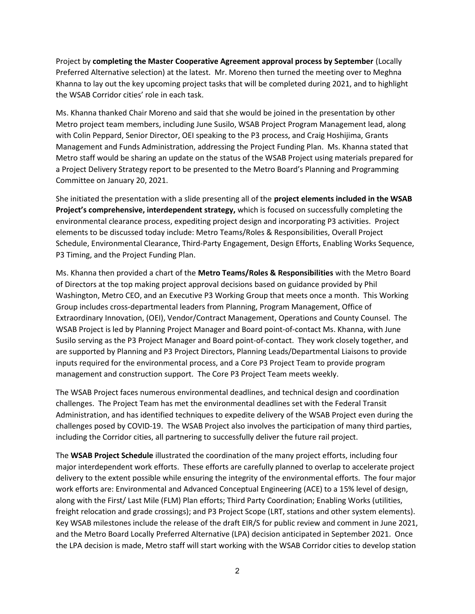Project by completing the Master Cooperative Agreement approval process by September (Locally Preferred Alternative selection) at the latest. Mr. Moreno then turned the meeting over to Meghna Khanna to lay out the key upcoming project tasks that will be completed during 2021, and to highlight the WSAB Corridor cities' role in each task.

Ms. Khanna thanked Chair Moreno and said that she would be joined in the presentation by other Metro project team members, including June Susilo, WSAB Project Program Management lead, along with Colin Peppard, Senior Director, OEI speaking to the P3 process, and Craig Hoshijima, Grants Management and Funds Administration, addressing the Project Funding Plan. Ms. Khanna stated that Metro staff would be sharing an update on the status of the WSAB Project using materials prepared for a Project Delivery Strategy report to be presented to the Metro Board's Planning and Programming Committee on January 20, 2021.

She initiated the presentation with a slide presenting all of the project elements included in the WSAB Project's comprehensive, interdependent strategy, which is focused on successfully completing the environmental clearance process, expediting project design and incorporating P3 activities. Project elements to be discussed today include: Metro Teams/Roles & Responsibilities, Overall Project Schedule, Environmental Clearance, Third-Party Engagement, Design Efforts, Enabling Works Sequence, P3 Timing, and the Project Funding Plan.

Ms. Khanna then provided a chart of the Metro Teams/Roles & Responsibilities with the Metro Board of Directors at the top making project approval decisions based on guidance provided by Phil Washington, Metro CEO, and an Executive P3 Working Group that meets once a month. This Working Group includes cross-departmental leaders from Planning, Program Management, Office of Extraordinary Innovation, (OEI), Vendor/Contract Management, Operations and County Counsel. The WSAB Project is led by Planning Project Manager and Board point-of-contact Ms. Khanna, with June Susilo serving as the P3 Project Manager and Board point-of-contact. They work closely together, and are supported by Planning and P3 Project Directors, Planning Leads/Departmental Liaisons to provide inputs required for the environmental process, and a Core P3 Project Team to provide program management and construction support. The Core P3 Project Team meets weekly.

The WSAB Project faces numerous environmental deadlines, and technical design and coordination challenges. The Project Team has met the environmental deadlines set with the Federal Transit Administration, and has identified techniques to expedite delivery of the WSAB Project even during the challenges posed by COVID-19. The WSAB Project also involves the participation of many third parties, including the Corridor cities, all partnering to successfully deliver the future rail project.

The WSAB Project Schedule illustrated the coordination of the many project efforts, including four major interdependent work efforts. These efforts are carefully planned to overlap to accelerate project delivery to the extent possible while ensuring the integrity of the environmental efforts. The four major work efforts are: Environmental and Advanced Conceptual Engineering (ACE) to a 15% level of design, along with the First/ Last Mile (FLM) Plan efforts; Third Party Coordination; Enabling Works (utilities, freight relocation and grade crossings); and P3 Project Scope (LRT, stations and other system elements). Key WSAB milestones include the release of the draft EIR/S for public review and comment in June 2021, and the Metro Board Locally Preferred Alternative (LPA) decision anticipated in September 2021. Once the LPA decision is made, Metro staff will start working with the WSAB Corridor cities to develop station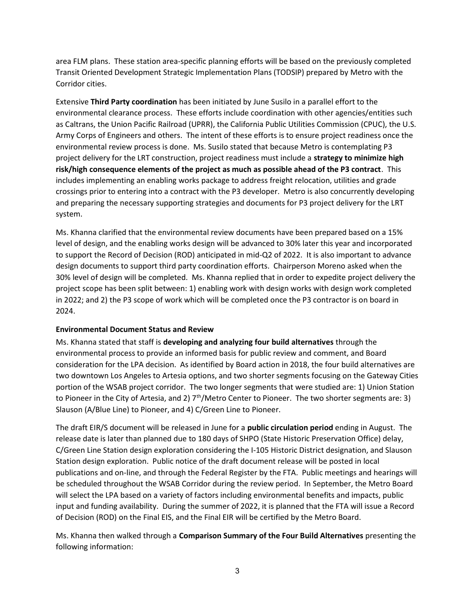area FLM plans. These station area-specific planning efforts will be based on the previously completed Transit Oriented Development Strategic Implementation Plans (TODSIP) prepared by Metro with the Corridor cities.

Extensive Third Party coordination has been initiated by June Susilo in a parallel effort to the environmental clearance process. These efforts include coordination with other agencies/entities such as Caltrans, the Union Pacific Railroad (UPRR), the California Public Utilities Commission (CPUC), the U.S. Army Corps of Engineers and others. The intent of these efforts is to ensure project readiness once the environmental review process is done. Ms. Susilo stated that because Metro is contemplating P3 project delivery for the LRT construction, project readiness must include a strategy to minimize high risk/high consequence elements of the project as much as possible ahead of the P3 contract. This includes implementing an enabling works package to address freight relocation, utilities and grade crossings prior to entering into a contract with the P3 developer. Metro is also concurrently developing and preparing the necessary supporting strategies and documents for P3 project delivery for the LRT system.

Ms. Khanna clarified that the environmental review documents have been prepared based on a 15% level of design, and the enabling works design will be advanced to 30% later this year and incorporated to support the Record of Decision (ROD) anticipated in mid-Q2 of 2022. It is also important to advance design documents to support third party coordination efforts. Chairperson Moreno asked when the 30% level of design will be completed. Ms. Khanna replied that in order to expedite project delivery the project scope has been split between: 1) enabling work with design works with design work completed in 2022; and 2) the P3 scope of work which will be completed once the P3 contractor is on board in 2024.

#### Environmental Document Status and Review

Ms. Khanna stated that staff is developing and analyzing four build alternatives through the environmental process to provide an informed basis for public review and comment, and Board consideration for the LPA decision. As identified by Board action in 2018, the four build alternatives are two downtown Los Angeles to Artesia options, and two shorter segments focusing on the Gateway Cities portion of the WSAB project corridor. The two longer segments that were studied are: 1) Union Station to Pioneer in the City of Artesia, and 2)  $7<sup>th</sup>/Metro Center to Pioneer. The two shorter segments are: 3)$ Slauson (A/Blue Line) to Pioneer, and 4) C/Green Line to Pioneer.

The draft EIR/S document will be released in June for a **public circulation period** ending in August. The release date is later than planned due to 180 days of SHPO (State Historic Preservation Office) delay, C/Green Line Station design exploration considering the I-105 Historic District designation, and Slauson Station design exploration. Public notice of the draft document release will be posted in local publications and on-line, and through the Federal Register by the FTA. Public meetings and hearings will be scheduled throughout the WSAB Corridor during the review period. In September, the Metro Board will select the LPA based on a variety of factors including environmental benefits and impacts, public input and funding availability. During the summer of 2022, it is planned that the FTA will issue a Record of Decision (ROD) on the Final EIS, and the Final EIR will be certified by the Metro Board.

Ms. Khanna then walked through a Comparison Summary of the Four Build Alternatives presenting the following information: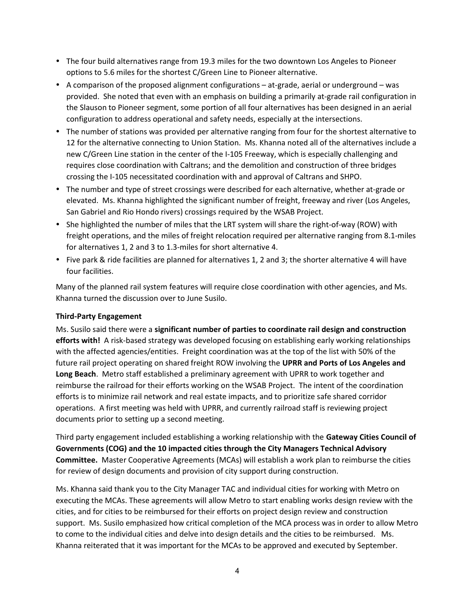- The four build alternatives range from 19.3 miles for the two downtown Los Angeles to Pioneer options to 5.6 miles for the shortest C/Green Line to Pioneer alternative.
- A comparison of the proposed alignment configurations at-grade, aerial or underground was provided. She noted that even with an emphasis on building a primarily at-grade rail configuration in the Slauson to Pioneer segment, some portion of all four alternatives has been designed in an aerial configuration to address operational and safety needs, especially at the intersections.
- The number of stations was provided per alternative ranging from four for the shortest alternative to 12 for the alternative connecting to Union Station. Ms. Khanna noted all of the alternatives include a new C/Green Line station in the center of the I-105 Freeway, which is especially challenging and requires close coordination with Caltrans; and the demolition and construction of three bridges crossing the I-105 necessitated coordination with and approval of Caltrans and SHPO.
- The number and type of street crossings were described for each alternative, whether at-grade or elevated. Ms. Khanna highlighted the significant number of freight, freeway and river (Los Angeles, San Gabriel and Rio Hondo rivers) crossings required by the WSAB Project.
- She highlighted the number of miles that the LRT system will share the right-of-way (ROW) with freight operations, and the miles of freight relocation required per alternative ranging from 8.1-miles for alternatives 1, 2 and 3 to 1.3-miles for short alternative 4.
- Five park & ride facilities are planned for alternatives 1, 2 and 3; the shorter alternative 4 will have four facilities.

Many of the planned rail system features will require close coordination with other agencies, and Ms. Khanna turned the discussion over to June Susilo.

#### Third-Party Engagement

Ms. Susilo said there were a significant number of parties to coordinate rail design and construction efforts with! A risk-based strategy was developed focusing on establishing early working relationships with the affected agencies/entities. Freight coordination was at the top of the list with 50% of the future rail project operating on shared freight ROW involving the UPRR and Ports of Los Angeles and Long Beach. Metro staff established a preliminary agreement with UPRR to work together and reimburse the railroad for their efforts working on the WSAB Project. The intent of the coordination efforts is to minimize rail network and real estate impacts, and to prioritize safe shared corridor operations. A first meeting was held with UPRR, and currently railroad staff is reviewing project documents prior to setting up a second meeting.

Third party engagement included establishing a working relationship with the Gateway Cities Council of Governments (COG) and the 10 impacted cities through the City Managers Technical Advisory Committee. Master Cooperative Agreements (MCAs) will establish a work plan to reimburse the cities for review of design documents and provision of city support during construction.

Ms. Khanna said thank you to the City Manager TAC and individual cities for working with Metro on executing the MCAs. These agreements will allow Metro to start enabling works design review with the cities, and for cities to be reimbursed for their efforts on project design review and construction support. Ms. Susilo emphasized how critical completion of the MCA process was in order to allow Metro to come to the individual cities and delve into design details and the cities to be reimbursed. Ms. Khanna reiterated that it was important for the MCAs to be approved and executed by September.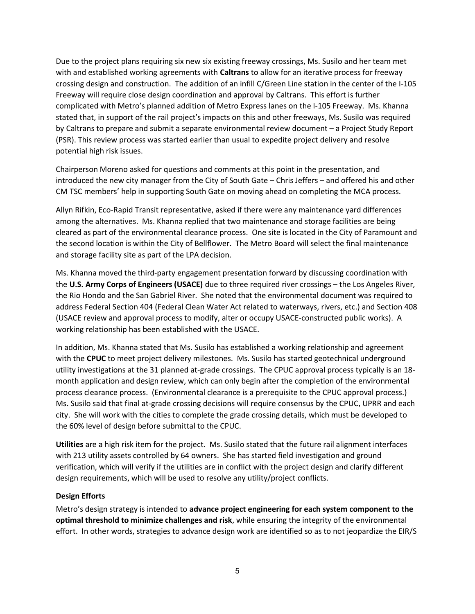Due to the project plans requiring six new six existing freeway crossings, Ms. Susilo and her team met with and established working agreements with **Caltrans** to allow for an iterative process for freeway crossing design and construction. The addition of an infill C/Green Line station in the center of the I-105 Freeway will require close design coordination and approval by Caltrans. This effort is further complicated with Metro's planned addition of Metro Express lanes on the I-105 Freeway. Ms. Khanna stated that, in support of the rail project's impacts on this and other freeways, Ms. Susilo was required by Caltrans to prepare and submit a separate environmental review document – a Project Study Report (PSR). This review process was started earlier than usual to expedite project delivery and resolve potential high risk issues.

Chairperson Moreno asked for questions and comments at this point in the presentation, and introduced the new city manager from the City of South Gate – Chris Jeffers – and offered his and other CM TSC members' help in supporting South Gate on moving ahead on completing the MCA process.

Allyn Rifkin, Eco-Rapid Transit representative, asked if there were any maintenance yard differences among the alternatives. Ms. Khanna replied that two maintenance and storage facilities are being cleared as part of the environmental clearance process. One site is located in the City of Paramount and the second location is within the City of Bellflower. The Metro Board will select the final maintenance and storage facility site as part of the LPA decision.

Ms. Khanna moved the third-party engagement presentation forward by discussing coordination with the U.S. Army Corps of Engineers (USACE) due to three required river crossings – the Los Angeles River, the Rio Hondo and the San Gabriel River. She noted that the environmental document was required to address Federal Section 404 (Federal Clean Water Act related to waterways, rivers, etc.) and Section 408 (USACE review and approval process to modify, alter or occupy USACE-constructed public works). A working relationship has been established with the USACE.

In addition, Ms. Khanna stated that Ms. Susilo has established a working relationship and agreement with the CPUC to meet project delivery milestones. Ms. Susilo has started geotechnical underground utility investigations at the 31 planned at-grade crossings. The CPUC approval process typically is an 18 month application and design review, which can only begin after the completion of the environmental process clearance process. (Environmental clearance is a prerequisite to the CPUC approval process.) Ms. Susilo said that final at-grade crossing decisions will require consensus by the CPUC, UPRR and each city. She will work with the cities to complete the grade crossing details, which must be developed to the 60% level of design before submittal to the CPUC.

Utilities are a high risk item for the project. Ms. Susilo stated that the future rail alignment interfaces with 213 utility assets controlled by 64 owners. She has started field investigation and ground verification, which will verify if the utilities are in conflict with the project design and clarify different design requirements, which will be used to resolve any utility/project conflicts.

#### Design Efforts

Metro's design strategy is intended to advance project engineering for each system component to the optimal threshold to minimize challenges and risk, while ensuring the integrity of the environmental effort. In other words, strategies to advance design work are identified so as to not jeopardize the EIR/S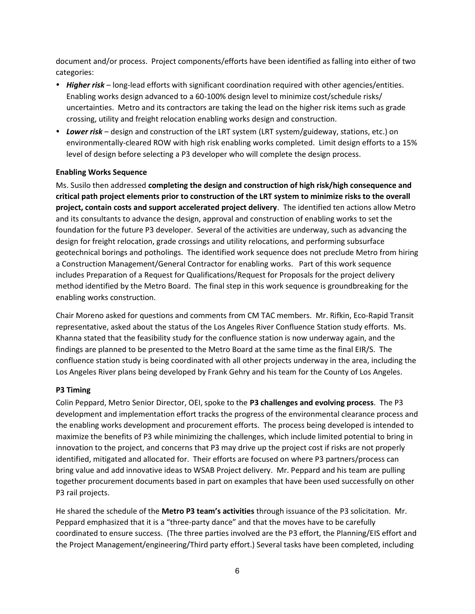document and/or process. Project components/efforts have been identified as falling into either of two categories:

- Higher risk long-lead efforts with significant coordination required with other agencies/entities. Enabling works design advanced to a 60-100% design level to minimize cost/schedule risks/ uncertainties. Metro and its contractors are taking the lead on the higher risk items such as grade crossing, utility and freight relocation enabling works design and construction.
- Lower risk design and construction of the LRT system (LRT system/guideway, stations, etc.) on environmentally-cleared ROW with high risk enabling works completed. Limit design efforts to a 15% level of design before selecting a P3 developer who will complete the design process.

#### Enabling Works Sequence

Ms. Susilo then addressed completing the design and construction of high risk/high consequence and critical path project elements prior to construction of the LRT system to minimize risks to the overall project, contain costs and support accelerated project delivery. The identified ten actions allow Metro and its consultants to advance the design, approval and construction of enabling works to set the foundation for the future P3 developer. Several of the activities are underway, such as advancing the design for freight relocation, grade crossings and utility relocations, and performing subsurface geotechnical borings and potholings. The identified work sequence does not preclude Metro from hiring a Construction Management/General Contractor for enabling works. Part of this work sequence includes Preparation of a Request for Qualifications/Request for Proposals for the project delivery method identified by the Metro Board. The final step in this work sequence is groundbreaking for the enabling works construction.

Chair Moreno asked for questions and comments from CM TAC members. Mr. Rifkin, Eco-Rapid Transit representative, asked about the status of the Los Angeles River Confluence Station study efforts. Ms. Khanna stated that the feasibility study for the confluence station is now underway again, and the findings are planned to be presented to the Metro Board at the same time as the final EIR/S. The confluence station study is being coordinated with all other projects underway in the area, including the Los Angeles River plans being developed by Frank Gehry and his team for the County of Los Angeles.

#### P3 Timing

Colin Peppard, Metro Senior Director, OEI, spoke to the P3 challenges and evolving process. The P3 development and implementation effort tracks the progress of the environmental clearance process and the enabling works development and procurement efforts. The process being developed is intended to maximize the benefits of P3 while minimizing the challenges, which include limited potential to bring in innovation to the project, and concerns that P3 may drive up the project cost if risks are not properly identified, mitigated and allocated for. Their efforts are focused on where P3 partners/process can bring value and add innovative ideas to WSAB Project delivery. Mr. Peppard and his team are pulling together procurement documents based in part on examples that have been used successfully on other P3 rail projects.

He shared the schedule of the Metro P3 team's activities through issuance of the P3 solicitation. Mr. Peppard emphasized that it is a "three-party dance" and that the moves have to be carefully coordinated to ensure success. (The three parties involved are the P3 effort, the Planning/EIS effort and the Project Management/engineering/Third party effort.) Several tasks have been completed, including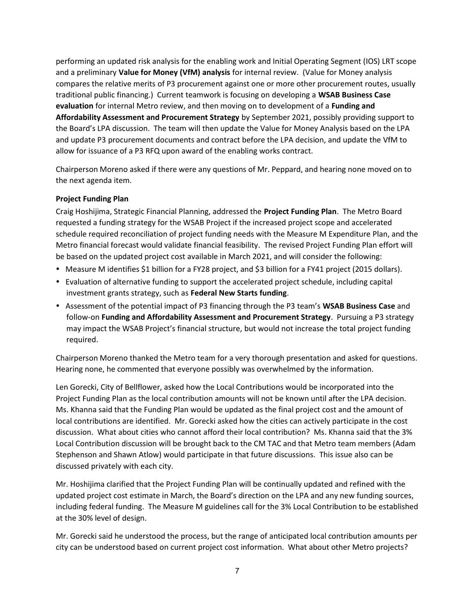performing an updated risk analysis for the enabling work and Initial Operating Segment (IOS) LRT scope and a preliminary Value for Money (VfM) analysis for internal review. (Value for Money analysis compares the relative merits of P3 procurement against one or more other procurement routes, usually traditional public financing.) Current teamwork is focusing on developing a WSAB Business Case evaluation for internal Metro review, and then moving on to development of a Funding and Affordability Assessment and Procurement Strategy by September 2021, possibly providing support to the Board's LPA discussion. The team will then update the Value for Money Analysis based on the LPA and update P3 procurement documents and contract before the LPA decision, and update the VfM to allow for issuance of a P3 RFQ upon award of the enabling works contract.

Chairperson Moreno asked if there were any questions of Mr. Peppard, and hearing none moved on to the next agenda item.

#### Project Funding Plan

Craig Hoshijima, Strategic Financial Planning, addressed the Project Funding Plan. The Metro Board requested a funding strategy for the WSAB Project if the increased project scope and accelerated schedule required reconciliation of project funding needs with the Measure M Expenditure Plan, and the Metro financial forecast would validate financial feasibility. The revised Project Funding Plan effort will be based on the updated project cost available in March 2021, and will consider the following:

- Measure M identifies \$1 billion for a FY28 project, and \$3 billion for a FY41 project (2015 dollars).
- Evaluation of alternative funding to support the accelerated project schedule, including capital investment grants strategy, such as Federal New Starts funding.
- Assessment of the potential impact of P3 financing through the P3 team's WSAB Business Case and follow-on Funding and Affordability Assessment and Procurement Strategy. Pursuing a P3 strategy may impact the WSAB Project's financial structure, but would not increase the total project funding required.

Chairperson Moreno thanked the Metro team for a very thorough presentation and asked for questions. Hearing none, he commented that everyone possibly was overwhelmed by the information.

Len Gorecki, City of Bellflower, asked how the Local Contributions would be incorporated into the Project Funding Plan as the local contribution amounts will not be known until after the LPA decision. Ms. Khanna said that the Funding Plan would be updated as the final project cost and the amount of local contributions are identified. Mr. Gorecki asked how the cities can actively participate in the cost discussion. What about cities who cannot afford their local contribution? Ms. Khanna said that the 3% Local Contribution discussion will be brought back to the CM TAC and that Metro team members (Adam Stephenson and Shawn Atlow) would participate in that future discussions. This issue also can be discussed privately with each city.

Mr. Hoshijima clarified that the Project Funding Plan will be continually updated and refined with the updated project cost estimate in March, the Board's direction on the LPA and any new funding sources, including federal funding. The Measure M guidelines call for the 3% Local Contribution to be established at the 30% level of design.

Mr. Gorecki said he understood the process, but the range of anticipated local contribution amounts per city can be understood based on current project cost information. What about other Metro projects?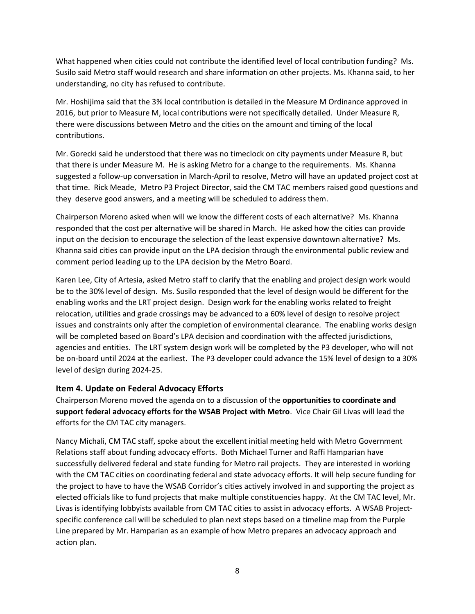What happened when cities could not contribute the identified level of local contribution funding? Ms. Susilo said Metro staff would research and share information on other projects. Ms. Khanna said, to her understanding, no city has refused to contribute.

Mr. Hoshijima said that the 3% local contribution is detailed in the Measure M Ordinance approved in 2016, but prior to Measure M, local contributions were not specifically detailed. Under Measure R, there were discussions between Metro and the cities on the amount and timing of the local contributions.

Mr. Gorecki said he understood that there was no timeclock on city payments under Measure R, but that there is under Measure M. He is asking Metro for a change to the requirements. Ms. Khanna suggested a follow-up conversation in March-April to resolve, Metro will have an updated project cost at that time. Rick Meade, Metro P3 Project Director, said the CM TAC members raised good questions and they deserve good answers, and a meeting will be scheduled to address them.

Chairperson Moreno asked when will we know the different costs of each alternative? Ms. Khanna responded that the cost per alternative will be shared in March. He asked how the cities can provide input on the decision to encourage the selection of the least expensive downtown alternative? Ms. Khanna said cities can provide input on the LPA decision through the environmental public review and comment period leading up to the LPA decision by the Metro Board.

Karen Lee, City of Artesia, asked Metro staff to clarify that the enabling and project design work would be to the 30% level of design. Ms. Susilo responded that the level of design would be different for the enabling works and the LRT project design. Design work for the enabling works related to freight relocation, utilities and grade crossings may be advanced to a 60% level of design to resolve project issues and constraints only after the completion of environmental clearance. The enabling works design will be completed based on Board's LPA decision and coordination with the affected jurisdictions, agencies and entities. The LRT system design work will be completed by the P3 developer, who will not be on-board until 2024 at the earliest. The P3 developer could advance the 15% level of design to a 30% level of design during 2024-25.

#### Item 4. Update on Federal Advocacy Efforts

Chairperson Moreno moved the agenda on to a discussion of the opportunities to coordinate and support federal advocacy efforts for the WSAB Project with Metro. Vice Chair Gil Livas will lead the efforts for the CM TAC city managers.

Nancy Michali, CM TAC staff, spoke about the excellent initial meeting held with Metro Government Relations staff about funding advocacy efforts. Both Michael Turner and Raffi Hamparian have successfully delivered federal and state funding for Metro rail projects. They are interested in working with the CM TAC cities on coordinating federal and state advocacy efforts. It will help secure funding for the project to have to have the WSAB Corridor's cities actively involved in and supporting the project as elected officials like to fund projects that make multiple constituencies happy. At the CM TAC level, Mr. Livas is identifying lobbyists available from CM TAC cities to assist in advocacy efforts. A WSAB Projectspecific conference call will be scheduled to plan next steps based on a timeline map from the Purple Line prepared by Mr. Hamparian as an example of how Metro prepares an advocacy approach and action plan.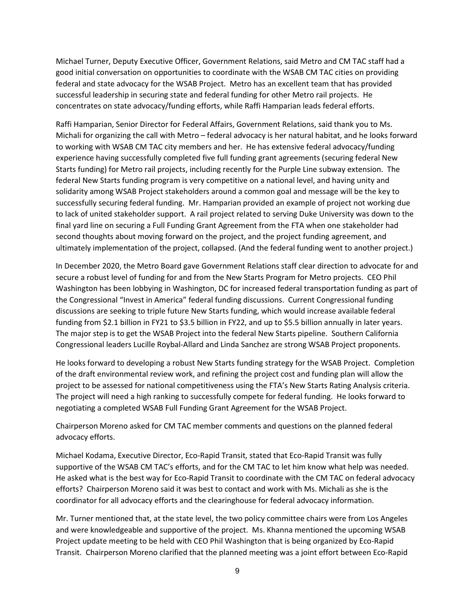Michael Turner, Deputy Executive Officer, Government Relations, said Metro and CM TAC staff had a good initial conversation on opportunities to coordinate with the WSAB CM TAC cities on providing federal and state advocacy for the WSAB Project. Metro has an excellent team that has provided successful leadership in securing state and federal funding for other Metro rail projects. He concentrates on state advocacy/funding efforts, while Raffi Hamparian leads federal efforts.

Raffi Hamparian, Senior Director for Federal Affairs, Government Relations, said thank you to Ms. Michali for organizing the call with Metro – federal advocacy is her natural habitat, and he looks forward to working with WSAB CM TAC city members and her. He has extensive federal advocacy/funding experience having successfully completed five full funding grant agreements (securing federal New Starts funding) for Metro rail projects, including recently for the Purple Line subway extension. The federal New Starts funding program is very competitive on a national level, and having unity and solidarity among WSAB Project stakeholders around a common goal and message will be the key to successfully securing federal funding. Mr. Hamparian provided an example of project not working due to lack of united stakeholder support. A rail project related to serving Duke University was down to the final yard line on securing a Full Funding Grant Agreement from the FTA when one stakeholder had second thoughts about moving forward on the project, and the project funding agreement, and ultimately implementation of the project, collapsed. (And the federal funding went to another project.)

In December 2020, the Metro Board gave Government Relations staff clear direction to advocate for and secure a robust level of funding for and from the New Starts Program for Metro projects. CEO Phil Washington has been lobbying in Washington, DC for increased federal transportation funding as part of the Congressional "Invest in America" federal funding discussions. Current Congressional funding discussions are seeking to triple future New Starts funding, which would increase available federal funding from \$2.1 billion in FY21 to \$3.5 billion in FY22, and up to \$5.5 billion annually in later years. The major step is to get the WSAB Project into the federal New Starts pipeline. Southern California Congressional leaders Lucille Roybal-Allard and Linda Sanchez are strong WSAB Project proponents.

He looks forward to developing a robust New Starts funding strategy for the WSAB Project. Completion of the draft environmental review work, and refining the project cost and funding plan will allow the project to be assessed for national competitiveness using the FTA's New Starts Rating Analysis criteria. The project will need a high ranking to successfully compete for federal funding. He looks forward to negotiating a completed WSAB Full Funding Grant Agreement for the WSAB Project.

Chairperson Moreno asked for CM TAC member comments and questions on the planned federal advocacy efforts.

Michael Kodama, Executive Director, Eco-Rapid Transit, stated that Eco-Rapid Transit was fully supportive of the WSAB CM TAC's efforts, and for the CM TAC to let him know what help was needed. He asked what is the best way for Eco-Rapid Transit to coordinate with the CM TAC on federal advocacy efforts? Chairperson Moreno said it was best to contact and work with Ms. Michali as she is the coordinator for all advocacy efforts and the clearinghouse for federal advocacy information.

Mr. Turner mentioned that, at the state level, the two policy committee chairs were from Los Angeles and were knowledgeable and supportive of the project. Ms. Khanna mentioned the upcoming WSAB Project update meeting to be held with CEO Phil Washington that is being organized by Eco-Rapid Transit. Chairperson Moreno clarified that the planned meeting was a joint effort between Eco-Rapid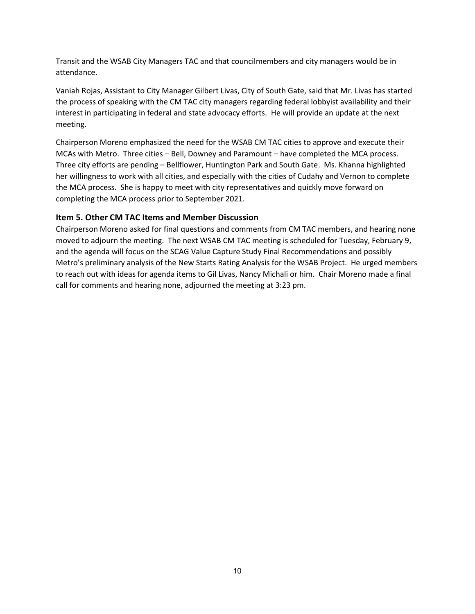Transit and the WSAB City Managers TAC and that councilmembers and city managers would be in attendance.

Vaniah Rojas, Assistant to City Manager Gilbert Livas, City of South Gate, said that Mr. Livas has started the process of speaking with the CM TAC city managers regarding federal lobbyist availability and their interest in participating in federal and state advocacy efforts. He will provide an update at the next meeting.

Chairperson Moreno emphasized the need for the WSAB CM TAC cities to approve and execute their MCAs with Metro. Three cities – Bell, Downey and Paramount – have completed the MCA process. Three city efforts are pending – Bellflower, Huntington Park and South Gate. Ms. Khanna highlighted her willingness to work with all cities, and especially with the cities of Cudahy and Vernon to complete the MCA process. She is happy to meet with city representatives and quickly move forward on completing the MCA process prior to September 2021.

#### Item 5. Other CM TAC Items and Member Discussion

Chairperson Moreno asked for final questions and comments from CM TAC members, and hearing none moved to adjourn the meeting. The next WSAB CM TAC meeting is scheduled for Tuesday, February 9, and the agenda will focus on the SCAG Value Capture Study Final Recommendations and possibly Metro's preliminary analysis of the New Starts Rating Analysis for the WSAB Project. He urged members to reach out with ideas for agenda items to Gil Livas, Nancy Michali or him. Chair Moreno made a final call for comments and hearing none, adjourned the meeting at 3:23 pm.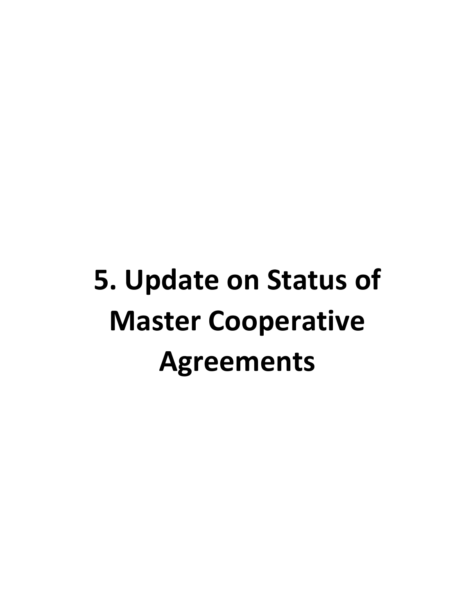# **5. Update on Status of Master Cooperative Agreements**